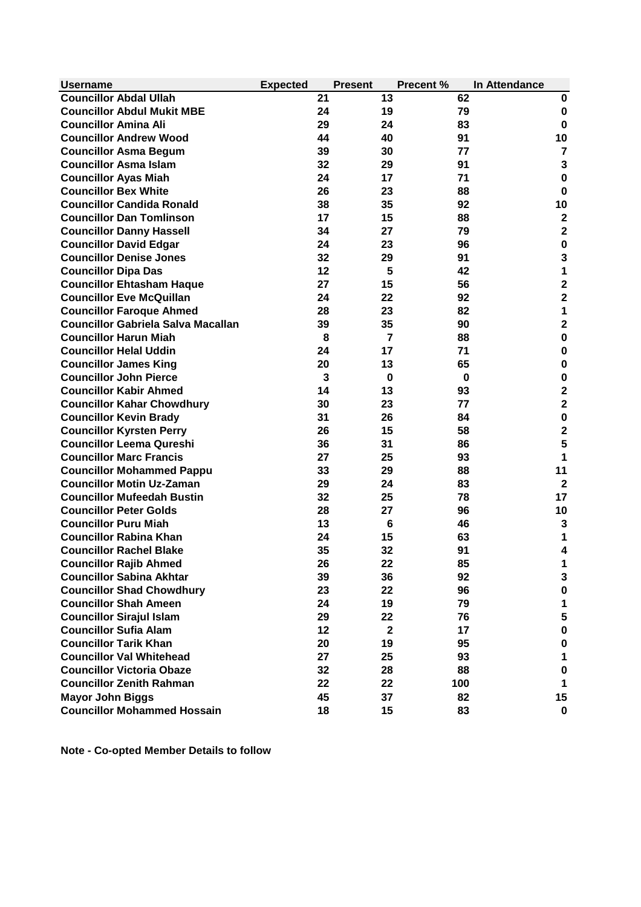| <b>Councillor Abdal Ullah</b><br>21<br>13<br>62<br>0<br><b>Councillor Abdul Mukit MBE</b><br>24<br>19<br>79<br>$\bf{0}$<br><b>Councillor Amina Ali</b><br>29<br>24<br>83<br>$\bf{0}$<br>40<br><b>Councillor Andrew Wood</b><br>44<br>91<br>10<br>30<br><b>Councillor Asma Begum</b><br>39<br>$\overline{7}$<br>77<br>3<br>32<br><b>Councillor Asma Islam</b><br>29<br>91<br><b>Councillor Ayas Miah</b><br>24<br>17<br>71<br>$\bf{0}$<br><b>Councillor Bex White</b><br>26<br>23<br>88<br>0<br><b>Councillor Candida Ronald</b><br>35<br>10<br>38<br>92<br>15<br>$\mathbf{2}$<br><b>Councillor Dan Tomlinson</b><br>17<br>88<br>$\mathbf{2}$<br>27<br><b>Councillor Danny Hassell</b><br>34<br>79<br><b>Councillor David Edgar</b><br>$\bf{0}$<br>24<br>23<br>96<br>$\mathbf{3}$<br><b>Councillor Denise Jones</b><br>32<br>91<br>29<br>1<br>12<br>5<br><b>Councillor Dipa Das</b><br>42<br>$\overline{\mathbf{2}}$<br>27<br>15<br><b>Councillor Ehtasham Haque</b><br>56<br>$\overline{\mathbf{2}}$<br><b>Councillor Eve McQuillan</b><br>24<br>22<br>92<br>1<br>23<br><b>Councillor Faroque Ahmed</b><br>28<br>82<br>$\overline{\mathbf{2}}$<br><b>Councillor Gabriela Salva Macallan</b><br>35<br>39<br>90<br>$\bf{0}$<br><b>Councillor Harun Miah</b><br>$\overline{7}$<br>8<br>88<br>$\bf{0}$<br><b>Councillor Helal Uddin</b><br>24<br>17<br>71<br>$\bf{0}$<br><b>Councillor James King</b><br>20<br>13<br>65<br><b>Councillor John Pierce</b><br>3<br>$\bf{0}$<br>0<br>$\bf{0}$<br>$\overline{\mathbf{c}}$<br><b>Councillor Kabir Ahmed</b><br>14<br>13<br>93<br>$\overline{\mathbf{2}}$<br><b>Councillor Kahar Chowdhury</b><br>30<br>23<br>77<br>$\bf{0}$<br>26<br><b>Councillor Kevin Brady</b><br>31<br>84<br>$\overline{\mathbf{c}}$<br>15<br><b>Councillor Kyrsten Perry</b><br>26<br>58<br>5<br><b>Councillor Leema Qureshi</b><br>31<br>36<br>86<br>1<br><b>Councillor Marc Francis</b><br>27<br>25<br>93<br>29<br><b>Councillor Mohammed Pappu</b><br>33<br>88<br>11<br>$\overline{2}$<br><b>Councillor Motin Uz-Zaman</b><br>29<br>24<br>83<br><b>Councillor Mufeedah Bustin</b><br>32<br>17<br>25<br>78<br><b>Councillor Peter Golds</b><br>10<br>28<br>27<br>96<br><b>Councillor Puru Miah</b><br>13<br>6<br>46<br>3<br><b>Councillor Rabina Khan</b><br>24<br>15<br>63<br><b>Councillor Rachel Blake</b><br>35<br>32<br>91<br>4<br><b>Councillor Rajib Ahmed</b><br>26<br>22<br>85<br>1<br><b>Councillor Sabina Akhtar</b><br>36<br>92<br>39<br>3<br><b>Councillor Shad Chowdhury</b><br>22<br>96<br>23<br>$\pmb{0}$<br><b>Councillor Shah Ameen</b><br>19<br>79<br>24<br>1<br>5<br><b>Councillor Sirajul Islam</b><br>22<br>29<br>76<br><b>Councillor Sufia Alam</b><br>$\pmb{0}$<br>12<br>$\mathbf{2}$<br>17<br><b>Councillor Tarik Khan</b><br>19<br>20<br>95<br>$\pmb{0}$<br><b>Councillor Val Whitehead</b><br>27<br>25<br>93<br>1<br><b>Councillor Victoria Obaze</b><br>28<br>32<br>88<br>$\bf{0}$<br><b>Councillor Zenith Rahman</b><br>22<br>22<br>100<br>1<br>45<br>37<br>82<br>15<br><b>Mayor John Biggs</b><br>18<br>15<br>83 | <b>Username</b>                    | <b>Expected</b> | <b>Present</b> | <b>Precent %</b> | In Attendance |
|---------------------------------------------------------------------------------------------------------------------------------------------------------------------------------------------------------------------------------------------------------------------------------------------------------------------------------------------------------------------------------------------------------------------------------------------------------------------------------------------------------------------------------------------------------------------------------------------------------------------------------------------------------------------------------------------------------------------------------------------------------------------------------------------------------------------------------------------------------------------------------------------------------------------------------------------------------------------------------------------------------------------------------------------------------------------------------------------------------------------------------------------------------------------------------------------------------------------------------------------------------------------------------------------------------------------------------------------------------------------------------------------------------------------------------------------------------------------------------------------------------------------------------------------------------------------------------------------------------------------------------------------------------------------------------------------------------------------------------------------------------------------------------------------------------------------------------------------------------------------------------------------------------------------------------------------------------------------------------------------------------------------------------------------------------------------------------------------------------------------------------------------------------------------------------------------------------------------------------------------------------------------------------------------------------------------------------------------------------------------------------------------------------------------------------------------------------------------------------------------------------------------------------------------------------------------------------------------------------------------------------------------------------------------------------------------------------------------------------------------------------------------------------------------------------------------------------------------------------------------------------------------------------------------------------------------------------------------------------------------------------------------------------------------------------------|------------------------------------|-----------------|----------------|------------------|---------------|
|                                                                                                                                                                                                                                                                                                                                                                                                                                                                                                                                                                                                                                                                                                                                                                                                                                                                                                                                                                                                                                                                                                                                                                                                                                                                                                                                                                                                                                                                                                                                                                                                                                                                                                                                                                                                                                                                                                                                                                                                                                                                                                                                                                                                                                                                                                                                                                                                                                                                                                                                                                                                                                                                                                                                                                                                                                                                                                                                                                                                                                                               |                                    |                 |                |                  |               |
|                                                                                                                                                                                                                                                                                                                                                                                                                                                                                                                                                                                                                                                                                                                                                                                                                                                                                                                                                                                                                                                                                                                                                                                                                                                                                                                                                                                                                                                                                                                                                                                                                                                                                                                                                                                                                                                                                                                                                                                                                                                                                                                                                                                                                                                                                                                                                                                                                                                                                                                                                                                                                                                                                                                                                                                                                                                                                                                                                                                                                                                               |                                    |                 |                |                  |               |
|                                                                                                                                                                                                                                                                                                                                                                                                                                                                                                                                                                                                                                                                                                                                                                                                                                                                                                                                                                                                                                                                                                                                                                                                                                                                                                                                                                                                                                                                                                                                                                                                                                                                                                                                                                                                                                                                                                                                                                                                                                                                                                                                                                                                                                                                                                                                                                                                                                                                                                                                                                                                                                                                                                                                                                                                                                                                                                                                                                                                                                                               |                                    |                 |                |                  |               |
|                                                                                                                                                                                                                                                                                                                                                                                                                                                                                                                                                                                                                                                                                                                                                                                                                                                                                                                                                                                                                                                                                                                                                                                                                                                                                                                                                                                                                                                                                                                                                                                                                                                                                                                                                                                                                                                                                                                                                                                                                                                                                                                                                                                                                                                                                                                                                                                                                                                                                                                                                                                                                                                                                                                                                                                                                                                                                                                                                                                                                                                               |                                    |                 |                |                  |               |
|                                                                                                                                                                                                                                                                                                                                                                                                                                                                                                                                                                                                                                                                                                                                                                                                                                                                                                                                                                                                                                                                                                                                                                                                                                                                                                                                                                                                                                                                                                                                                                                                                                                                                                                                                                                                                                                                                                                                                                                                                                                                                                                                                                                                                                                                                                                                                                                                                                                                                                                                                                                                                                                                                                                                                                                                                                                                                                                                                                                                                                                               |                                    |                 |                |                  |               |
|                                                                                                                                                                                                                                                                                                                                                                                                                                                                                                                                                                                                                                                                                                                                                                                                                                                                                                                                                                                                                                                                                                                                                                                                                                                                                                                                                                                                                                                                                                                                                                                                                                                                                                                                                                                                                                                                                                                                                                                                                                                                                                                                                                                                                                                                                                                                                                                                                                                                                                                                                                                                                                                                                                                                                                                                                                                                                                                                                                                                                                                               |                                    |                 |                |                  |               |
|                                                                                                                                                                                                                                                                                                                                                                                                                                                                                                                                                                                                                                                                                                                                                                                                                                                                                                                                                                                                                                                                                                                                                                                                                                                                                                                                                                                                                                                                                                                                                                                                                                                                                                                                                                                                                                                                                                                                                                                                                                                                                                                                                                                                                                                                                                                                                                                                                                                                                                                                                                                                                                                                                                                                                                                                                                                                                                                                                                                                                                                               |                                    |                 |                |                  |               |
|                                                                                                                                                                                                                                                                                                                                                                                                                                                                                                                                                                                                                                                                                                                                                                                                                                                                                                                                                                                                                                                                                                                                                                                                                                                                                                                                                                                                                                                                                                                                                                                                                                                                                                                                                                                                                                                                                                                                                                                                                                                                                                                                                                                                                                                                                                                                                                                                                                                                                                                                                                                                                                                                                                                                                                                                                                                                                                                                                                                                                                                               |                                    |                 |                |                  |               |
|                                                                                                                                                                                                                                                                                                                                                                                                                                                                                                                                                                                                                                                                                                                                                                                                                                                                                                                                                                                                                                                                                                                                                                                                                                                                                                                                                                                                                                                                                                                                                                                                                                                                                                                                                                                                                                                                                                                                                                                                                                                                                                                                                                                                                                                                                                                                                                                                                                                                                                                                                                                                                                                                                                                                                                                                                                                                                                                                                                                                                                                               |                                    |                 |                |                  |               |
|                                                                                                                                                                                                                                                                                                                                                                                                                                                                                                                                                                                                                                                                                                                                                                                                                                                                                                                                                                                                                                                                                                                                                                                                                                                                                                                                                                                                                                                                                                                                                                                                                                                                                                                                                                                                                                                                                                                                                                                                                                                                                                                                                                                                                                                                                                                                                                                                                                                                                                                                                                                                                                                                                                                                                                                                                                                                                                                                                                                                                                                               |                                    |                 |                |                  |               |
|                                                                                                                                                                                                                                                                                                                                                                                                                                                                                                                                                                                                                                                                                                                                                                                                                                                                                                                                                                                                                                                                                                                                                                                                                                                                                                                                                                                                                                                                                                                                                                                                                                                                                                                                                                                                                                                                                                                                                                                                                                                                                                                                                                                                                                                                                                                                                                                                                                                                                                                                                                                                                                                                                                                                                                                                                                                                                                                                                                                                                                                               |                                    |                 |                |                  |               |
|                                                                                                                                                                                                                                                                                                                                                                                                                                                                                                                                                                                                                                                                                                                                                                                                                                                                                                                                                                                                                                                                                                                                                                                                                                                                                                                                                                                                                                                                                                                                                                                                                                                                                                                                                                                                                                                                                                                                                                                                                                                                                                                                                                                                                                                                                                                                                                                                                                                                                                                                                                                                                                                                                                                                                                                                                                                                                                                                                                                                                                                               |                                    |                 |                |                  |               |
|                                                                                                                                                                                                                                                                                                                                                                                                                                                                                                                                                                                                                                                                                                                                                                                                                                                                                                                                                                                                                                                                                                                                                                                                                                                                                                                                                                                                                                                                                                                                                                                                                                                                                                                                                                                                                                                                                                                                                                                                                                                                                                                                                                                                                                                                                                                                                                                                                                                                                                                                                                                                                                                                                                                                                                                                                                                                                                                                                                                                                                                               |                                    |                 |                |                  |               |
|                                                                                                                                                                                                                                                                                                                                                                                                                                                                                                                                                                                                                                                                                                                                                                                                                                                                                                                                                                                                                                                                                                                                                                                                                                                                                                                                                                                                                                                                                                                                                                                                                                                                                                                                                                                                                                                                                                                                                                                                                                                                                                                                                                                                                                                                                                                                                                                                                                                                                                                                                                                                                                                                                                                                                                                                                                                                                                                                                                                                                                                               |                                    |                 |                |                  |               |
|                                                                                                                                                                                                                                                                                                                                                                                                                                                                                                                                                                                                                                                                                                                                                                                                                                                                                                                                                                                                                                                                                                                                                                                                                                                                                                                                                                                                                                                                                                                                                                                                                                                                                                                                                                                                                                                                                                                                                                                                                                                                                                                                                                                                                                                                                                                                                                                                                                                                                                                                                                                                                                                                                                                                                                                                                                                                                                                                                                                                                                                               |                                    |                 |                |                  |               |
|                                                                                                                                                                                                                                                                                                                                                                                                                                                                                                                                                                                                                                                                                                                                                                                                                                                                                                                                                                                                                                                                                                                                                                                                                                                                                                                                                                                                                                                                                                                                                                                                                                                                                                                                                                                                                                                                                                                                                                                                                                                                                                                                                                                                                                                                                                                                                                                                                                                                                                                                                                                                                                                                                                                                                                                                                                                                                                                                                                                                                                                               |                                    |                 |                |                  |               |
|                                                                                                                                                                                                                                                                                                                                                                                                                                                                                                                                                                                                                                                                                                                                                                                                                                                                                                                                                                                                                                                                                                                                                                                                                                                                                                                                                                                                                                                                                                                                                                                                                                                                                                                                                                                                                                                                                                                                                                                                                                                                                                                                                                                                                                                                                                                                                                                                                                                                                                                                                                                                                                                                                                                                                                                                                                                                                                                                                                                                                                                               |                                    |                 |                |                  |               |
|                                                                                                                                                                                                                                                                                                                                                                                                                                                                                                                                                                                                                                                                                                                                                                                                                                                                                                                                                                                                                                                                                                                                                                                                                                                                                                                                                                                                                                                                                                                                                                                                                                                                                                                                                                                                                                                                                                                                                                                                                                                                                                                                                                                                                                                                                                                                                                                                                                                                                                                                                                                                                                                                                                                                                                                                                                                                                                                                                                                                                                                               |                                    |                 |                |                  |               |
|                                                                                                                                                                                                                                                                                                                                                                                                                                                                                                                                                                                                                                                                                                                                                                                                                                                                                                                                                                                                                                                                                                                                                                                                                                                                                                                                                                                                                                                                                                                                                                                                                                                                                                                                                                                                                                                                                                                                                                                                                                                                                                                                                                                                                                                                                                                                                                                                                                                                                                                                                                                                                                                                                                                                                                                                                                                                                                                                                                                                                                                               |                                    |                 |                |                  |               |
|                                                                                                                                                                                                                                                                                                                                                                                                                                                                                                                                                                                                                                                                                                                                                                                                                                                                                                                                                                                                                                                                                                                                                                                                                                                                                                                                                                                                                                                                                                                                                                                                                                                                                                                                                                                                                                                                                                                                                                                                                                                                                                                                                                                                                                                                                                                                                                                                                                                                                                                                                                                                                                                                                                                                                                                                                                                                                                                                                                                                                                                               |                                    |                 |                |                  |               |
|                                                                                                                                                                                                                                                                                                                                                                                                                                                                                                                                                                                                                                                                                                                                                                                                                                                                                                                                                                                                                                                                                                                                                                                                                                                                                                                                                                                                                                                                                                                                                                                                                                                                                                                                                                                                                                                                                                                                                                                                                                                                                                                                                                                                                                                                                                                                                                                                                                                                                                                                                                                                                                                                                                                                                                                                                                                                                                                                                                                                                                                               |                                    |                 |                |                  |               |
|                                                                                                                                                                                                                                                                                                                                                                                                                                                                                                                                                                                                                                                                                                                                                                                                                                                                                                                                                                                                                                                                                                                                                                                                                                                                                                                                                                                                                                                                                                                                                                                                                                                                                                                                                                                                                                                                                                                                                                                                                                                                                                                                                                                                                                                                                                                                                                                                                                                                                                                                                                                                                                                                                                                                                                                                                                                                                                                                                                                                                                                               |                                    |                 |                |                  |               |
|                                                                                                                                                                                                                                                                                                                                                                                                                                                                                                                                                                                                                                                                                                                                                                                                                                                                                                                                                                                                                                                                                                                                                                                                                                                                                                                                                                                                                                                                                                                                                                                                                                                                                                                                                                                                                                                                                                                                                                                                                                                                                                                                                                                                                                                                                                                                                                                                                                                                                                                                                                                                                                                                                                                                                                                                                                                                                                                                                                                                                                                               |                                    |                 |                |                  |               |
|                                                                                                                                                                                                                                                                                                                                                                                                                                                                                                                                                                                                                                                                                                                                                                                                                                                                                                                                                                                                                                                                                                                                                                                                                                                                                                                                                                                                                                                                                                                                                                                                                                                                                                                                                                                                                                                                                                                                                                                                                                                                                                                                                                                                                                                                                                                                                                                                                                                                                                                                                                                                                                                                                                                                                                                                                                                                                                                                                                                                                                                               |                                    |                 |                |                  |               |
|                                                                                                                                                                                                                                                                                                                                                                                                                                                                                                                                                                                                                                                                                                                                                                                                                                                                                                                                                                                                                                                                                                                                                                                                                                                                                                                                                                                                                                                                                                                                                                                                                                                                                                                                                                                                                                                                                                                                                                                                                                                                                                                                                                                                                                                                                                                                                                                                                                                                                                                                                                                                                                                                                                                                                                                                                                                                                                                                                                                                                                                               |                                    |                 |                |                  |               |
|                                                                                                                                                                                                                                                                                                                                                                                                                                                                                                                                                                                                                                                                                                                                                                                                                                                                                                                                                                                                                                                                                                                                                                                                                                                                                                                                                                                                                                                                                                                                                                                                                                                                                                                                                                                                                                                                                                                                                                                                                                                                                                                                                                                                                                                                                                                                                                                                                                                                                                                                                                                                                                                                                                                                                                                                                                                                                                                                                                                                                                                               |                                    |                 |                |                  |               |
|                                                                                                                                                                                                                                                                                                                                                                                                                                                                                                                                                                                                                                                                                                                                                                                                                                                                                                                                                                                                                                                                                                                                                                                                                                                                                                                                                                                                                                                                                                                                                                                                                                                                                                                                                                                                                                                                                                                                                                                                                                                                                                                                                                                                                                                                                                                                                                                                                                                                                                                                                                                                                                                                                                                                                                                                                                                                                                                                                                                                                                                               |                                    |                 |                |                  |               |
|                                                                                                                                                                                                                                                                                                                                                                                                                                                                                                                                                                                                                                                                                                                                                                                                                                                                                                                                                                                                                                                                                                                                                                                                                                                                                                                                                                                                                                                                                                                                                                                                                                                                                                                                                                                                                                                                                                                                                                                                                                                                                                                                                                                                                                                                                                                                                                                                                                                                                                                                                                                                                                                                                                                                                                                                                                                                                                                                                                                                                                                               |                                    |                 |                |                  |               |
|                                                                                                                                                                                                                                                                                                                                                                                                                                                                                                                                                                                                                                                                                                                                                                                                                                                                                                                                                                                                                                                                                                                                                                                                                                                                                                                                                                                                                                                                                                                                                                                                                                                                                                                                                                                                                                                                                                                                                                                                                                                                                                                                                                                                                                                                                                                                                                                                                                                                                                                                                                                                                                                                                                                                                                                                                                                                                                                                                                                                                                                               |                                    |                 |                |                  |               |
|                                                                                                                                                                                                                                                                                                                                                                                                                                                                                                                                                                                                                                                                                                                                                                                                                                                                                                                                                                                                                                                                                                                                                                                                                                                                                                                                                                                                                                                                                                                                                                                                                                                                                                                                                                                                                                                                                                                                                                                                                                                                                                                                                                                                                                                                                                                                                                                                                                                                                                                                                                                                                                                                                                                                                                                                                                                                                                                                                                                                                                                               |                                    |                 |                |                  |               |
|                                                                                                                                                                                                                                                                                                                                                                                                                                                                                                                                                                                                                                                                                                                                                                                                                                                                                                                                                                                                                                                                                                                                                                                                                                                                                                                                                                                                                                                                                                                                                                                                                                                                                                                                                                                                                                                                                                                                                                                                                                                                                                                                                                                                                                                                                                                                                                                                                                                                                                                                                                                                                                                                                                                                                                                                                                                                                                                                                                                                                                                               |                                    |                 |                |                  |               |
|                                                                                                                                                                                                                                                                                                                                                                                                                                                                                                                                                                                                                                                                                                                                                                                                                                                                                                                                                                                                                                                                                                                                                                                                                                                                                                                                                                                                                                                                                                                                                                                                                                                                                                                                                                                                                                                                                                                                                                                                                                                                                                                                                                                                                                                                                                                                                                                                                                                                                                                                                                                                                                                                                                                                                                                                                                                                                                                                                                                                                                                               |                                    |                 |                |                  |               |
|                                                                                                                                                                                                                                                                                                                                                                                                                                                                                                                                                                                                                                                                                                                                                                                                                                                                                                                                                                                                                                                                                                                                                                                                                                                                                                                                                                                                                                                                                                                                                                                                                                                                                                                                                                                                                                                                                                                                                                                                                                                                                                                                                                                                                                                                                                                                                                                                                                                                                                                                                                                                                                                                                                                                                                                                                                                                                                                                                                                                                                                               |                                    |                 |                |                  |               |
|                                                                                                                                                                                                                                                                                                                                                                                                                                                                                                                                                                                                                                                                                                                                                                                                                                                                                                                                                                                                                                                                                                                                                                                                                                                                                                                                                                                                                                                                                                                                                                                                                                                                                                                                                                                                                                                                                                                                                                                                                                                                                                                                                                                                                                                                                                                                                                                                                                                                                                                                                                                                                                                                                                                                                                                                                                                                                                                                                                                                                                                               |                                    |                 |                |                  |               |
|                                                                                                                                                                                                                                                                                                                                                                                                                                                                                                                                                                                                                                                                                                                                                                                                                                                                                                                                                                                                                                                                                                                                                                                                                                                                                                                                                                                                                                                                                                                                                                                                                                                                                                                                                                                                                                                                                                                                                                                                                                                                                                                                                                                                                                                                                                                                                                                                                                                                                                                                                                                                                                                                                                                                                                                                                                                                                                                                                                                                                                                               |                                    |                 |                |                  |               |
|                                                                                                                                                                                                                                                                                                                                                                                                                                                                                                                                                                                                                                                                                                                                                                                                                                                                                                                                                                                                                                                                                                                                                                                                                                                                                                                                                                                                                                                                                                                                                                                                                                                                                                                                                                                                                                                                                                                                                                                                                                                                                                                                                                                                                                                                                                                                                                                                                                                                                                                                                                                                                                                                                                                                                                                                                                                                                                                                                                                                                                                               |                                    |                 |                |                  |               |
|                                                                                                                                                                                                                                                                                                                                                                                                                                                                                                                                                                                                                                                                                                                                                                                                                                                                                                                                                                                                                                                                                                                                                                                                                                                                                                                                                                                                                                                                                                                                                                                                                                                                                                                                                                                                                                                                                                                                                                                                                                                                                                                                                                                                                                                                                                                                                                                                                                                                                                                                                                                                                                                                                                                                                                                                                                                                                                                                                                                                                                                               |                                    |                 |                |                  |               |
|                                                                                                                                                                                                                                                                                                                                                                                                                                                                                                                                                                                                                                                                                                                                                                                                                                                                                                                                                                                                                                                                                                                                                                                                                                                                                                                                                                                                                                                                                                                                                                                                                                                                                                                                                                                                                                                                                                                                                                                                                                                                                                                                                                                                                                                                                                                                                                                                                                                                                                                                                                                                                                                                                                                                                                                                                                                                                                                                                                                                                                                               |                                    |                 |                |                  |               |
|                                                                                                                                                                                                                                                                                                                                                                                                                                                                                                                                                                                                                                                                                                                                                                                                                                                                                                                                                                                                                                                                                                                                                                                                                                                                                                                                                                                                                                                                                                                                                                                                                                                                                                                                                                                                                                                                                                                                                                                                                                                                                                                                                                                                                                                                                                                                                                                                                                                                                                                                                                                                                                                                                                                                                                                                                                                                                                                                                                                                                                                               |                                    |                 |                |                  |               |
|                                                                                                                                                                                                                                                                                                                                                                                                                                                                                                                                                                                                                                                                                                                                                                                                                                                                                                                                                                                                                                                                                                                                                                                                                                                                                                                                                                                                                                                                                                                                                                                                                                                                                                                                                                                                                                                                                                                                                                                                                                                                                                                                                                                                                                                                                                                                                                                                                                                                                                                                                                                                                                                                                                                                                                                                                                                                                                                                                                                                                                                               |                                    |                 |                |                  |               |
|                                                                                                                                                                                                                                                                                                                                                                                                                                                                                                                                                                                                                                                                                                                                                                                                                                                                                                                                                                                                                                                                                                                                                                                                                                                                                                                                                                                                                                                                                                                                                                                                                                                                                                                                                                                                                                                                                                                                                                                                                                                                                                                                                                                                                                                                                                                                                                                                                                                                                                                                                                                                                                                                                                                                                                                                                                                                                                                                                                                                                                                               |                                    |                 |                |                  |               |
|                                                                                                                                                                                                                                                                                                                                                                                                                                                                                                                                                                                                                                                                                                                                                                                                                                                                                                                                                                                                                                                                                                                                                                                                                                                                                                                                                                                                                                                                                                                                                                                                                                                                                                                                                                                                                                                                                                                                                                                                                                                                                                                                                                                                                                                                                                                                                                                                                                                                                                                                                                                                                                                                                                                                                                                                                                                                                                                                                                                                                                                               |                                    |                 |                |                  |               |
|                                                                                                                                                                                                                                                                                                                                                                                                                                                                                                                                                                                                                                                                                                                                                                                                                                                                                                                                                                                                                                                                                                                                                                                                                                                                                                                                                                                                                                                                                                                                                                                                                                                                                                                                                                                                                                                                                                                                                                                                                                                                                                                                                                                                                                                                                                                                                                                                                                                                                                                                                                                                                                                                                                                                                                                                                                                                                                                                                                                                                                                               |                                    |                 |                |                  |               |
|                                                                                                                                                                                                                                                                                                                                                                                                                                                                                                                                                                                                                                                                                                                                                                                                                                                                                                                                                                                                                                                                                                                                                                                                                                                                                                                                                                                                                                                                                                                                                                                                                                                                                                                                                                                                                                                                                                                                                                                                                                                                                                                                                                                                                                                                                                                                                                                                                                                                                                                                                                                                                                                                                                                                                                                                                                                                                                                                                                                                                                                               |                                    |                 |                |                  |               |
|                                                                                                                                                                                                                                                                                                                                                                                                                                                                                                                                                                                                                                                                                                                                                                                                                                                                                                                                                                                                                                                                                                                                                                                                                                                                                                                                                                                                                                                                                                                                                                                                                                                                                                                                                                                                                                                                                                                                                                                                                                                                                                                                                                                                                                                                                                                                                                                                                                                                                                                                                                                                                                                                                                                                                                                                                                                                                                                                                                                                                                                               |                                    |                 |                |                  |               |
|                                                                                                                                                                                                                                                                                                                                                                                                                                                                                                                                                                                                                                                                                                                                                                                                                                                                                                                                                                                                                                                                                                                                                                                                                                                                                                                                                                                                                                                                                                                                                                                                                                                                                                                                                                                                                                                                                                                                                                                                                                                                                                                                                                                                                                                                                                                                                                                                                                                                                                                                                                                                                                                                                                                                                                                                                                                                                                                                                                                                                                                               |                                    |                 |                |                  |               |
|                                                                                                                                                                                                                                                                                                                                                                                                                                                                                                                                                                                                                                                                                                                                                                                                                                                                                                                                                                                                                                                                                                                                                                                                                                                                                                                                                                                                                                                                                                                                                                                                                                                                                                                                                                                                                                                                                                                                                                                                                                                                                                                                                                                                                                                                                                                                                                                                                                                                                                                                                                                                                                                                                                                                                                                                                                                                                                                                                                                                                                                               | <b>Councillor Mohammed Hossain</b> |                 |                |                  | 0             |

**Note - Co-opted Member Details to follow**